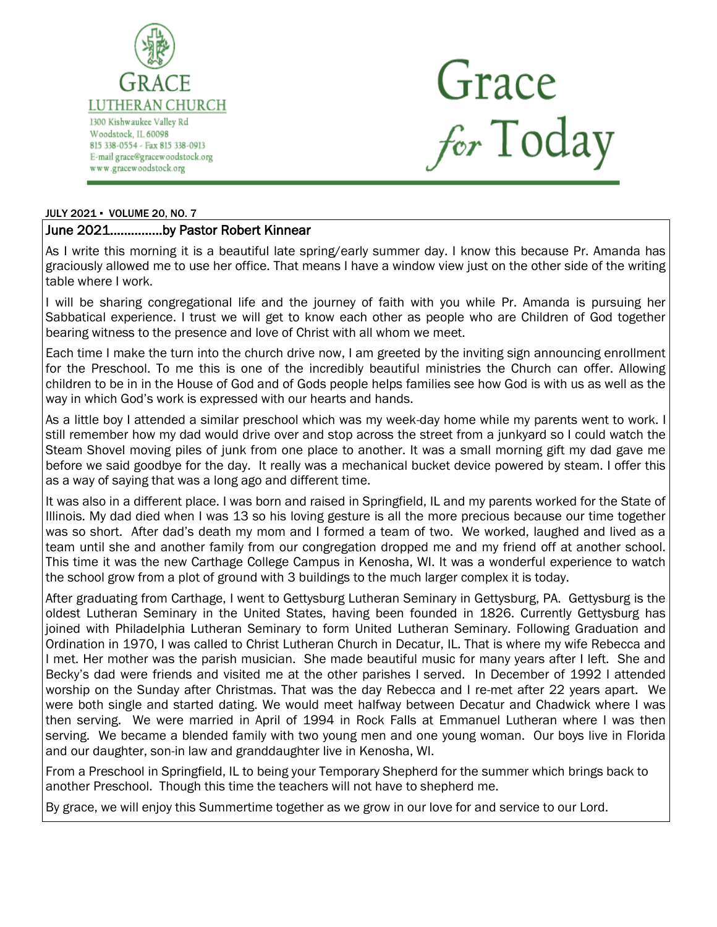

Grace<br>for Today

#### JULY 2021 ▪ VOLUME 20, NO. 7

## June 2021……………by Pastor Robert Kinnear

As I write this morning it is a beautiful late spring/early summer day. I know this because Pr. Amanda has graciously allowed me to use her office. That means I have a window view just on the other side of the writing table where I work.

I will be sharing congregational life and the journey of faith with you while Pr. Amanda is pursuing her Sabbatical experience. I trust we will get to know each other as people who are Children of God together bearing witness to the presence and love of Christ with all whom we meet.

Each time I make the turn into the church drive now, I am greeted by the inviting sign announcing enrollment for the Preschool. To me this is one of the incredibly beautiful ministries the Church can offer. Allowing children to be in in the House of God and of Gods people helps families see how God is with us as well as the way in which God's work is expressed with our hearts and hands.

As a little boy I attended a similar preschool which was my week-day home while my parents went to work. I still remember how my dad would drive over and stop across the street from a junkyard so I could watch the Steam Shovel moving piles of junk from one place to another. It was a small morning gift my dad gave me before we said goodbye for the day. It really was a mechanical bucket device powered by steam. I offer this as a way of saying that was a long ago and different time.

It was also in a different place. I was born and raised in Springfield, IL and my parents worked for the State of Illinois. My dad died when I was 13 so his loving gesture is all the more precious because our time together was so short. After dad's death my mom and I formed a team of two. We worked, laughed and lived as a team until she and another family from our congregation dropped me and my friend off at another school. This time it was the new Carthage College Campus in Kenosha, WI. It was a wonderful experience to watch the school grow from a plot of ground with 3 buildings to the much larger complex it is today.

After graduating from Carthage, I went to Gettysburg Lutheran Seminary in Gettysburg, PA. Gettysburg is the oldest Lutheran Seminary in the United States, having been founded in 1826. Currently Gettysburg has joined with Philadelphia Lutheran Seminary to form United Lutheran Seminary. Following Graduation and Ordination in 1970, I was called to Christ Lutheran Church in Decatur, IL. That is where my wife Rebecca and I met. Her mother was the parish musician. She made beautiful music for many years after I left. She and Becky's dad were friends and visited me at the other parishes I served. In December of 1992 I attended worship on the Sunday after Christmas. That was the day Rebecca and I re-met after 22 years apart. We were both single and started dating. We would meet halfway between Decatur and Chadwick where I was then serving. We were married in April of 1994 in Rock Falls at Emmanuel Lutheran where I was then serving. We became a blended family with two young men and one young woman. Our boys live in Florida and our daughter, son-in law and granddaughter live in Kenosha, WI.

From a Preschool in Springfield, IL to being your Temporary Shepherd for the summer which brings back to another Preschool. Though this time the teachers will not have to shepherd me.

By grace, we will enjoy this Summertime together as we grow in our love for and service to our Lord.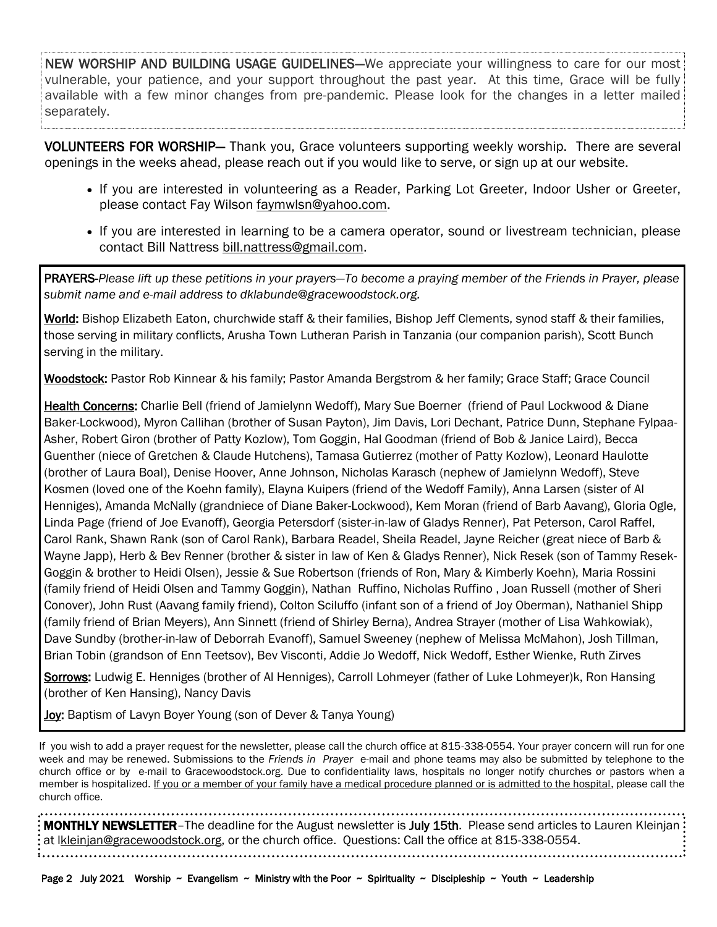NEW WORSHIP AND BUILDING USAGE GUIDELINES-We appreciate your willingness to care for our most vulnerable, your patience, and your support throughout the past year. At this time, Grace will be fully available with a few minor changes from pre-pandemic. Please look for the changes in a letter mailed separately.

VOLUNTEERS FOR WORSHIP— Thank you, Grace volunteers supporting weekly worship. There are several openings in the weeks ahead, please reach out if you would like to serve, or sign up at our website.

- If you are interested in volunteering as a Reader, Parking Lot Greeter, Indoor Usher or Greeter, please contact Fay Wilson [faymwlsn@yahoo.com.](mailto:faymwlsn@yahoo.com)
- If you are interested in learning to be a camera operator, sound or livestream technician, please contact Bill Nattress [bill.nattress@gmail.com.](mailto:bill.nattress@gmail.com)

PRAYERS-*Please lift up these petitions in your prayers—To become a praying member of the Friends in Prayer, please submit name and e-mail address to dklabunde@gracewoodstock.org.* 

World: Bishop Elizabeth Eaton, churchwide staff & their families, Bishop Jeff Clements, synod staff & their families, those serving in military conflicts, Arusha Town Lutheran Parish in Tanzania (our companion parish), Scott Bunch serving in the military.

Woodstock: Pastor Rob Kinnear & his family; Pastor Amanda Bergstrom & her family; Grace Staff; Grace Council

Health Concerns: Charlie Bell (friend of Jamielynn Wedoff), Mary Sue Boerner (friend of Paul Lockwood & Diane Baker-Lockwood), Myron Callihan (brother of Susan Payton), Jim Davis, Lori Dechant, Patrice Dunn, Stephane Fylpaa-Asher, Robert Giron (brother of Patty Kozlow), Tom Goggin, Hal Goodman (friend of Bob & Janice Laird), Becca Guenther (niece of Gretchen & Claude Hutchens), Tamasa Gutierrez (mother of Patty Kozlow), Leonard Haulotte (brother of Laura Boal), Denise Hoover, Anne Johnson, Nicholas Karasch (nephew of Jamielynn Wedoff), Steve Kosmen (loved one of the Koehn family), Elayna Kuipers (friend of the Wedoff Family), Anna Larsen (sister of Al Henniges), Amanda McNally (grandniece of Diane Baker-Lockwood), Kem Moran (friend of Barb Aavang), Gloria Ogle, Linda Page (friend of Joe Evanoff), Georgia Petersdorf (sister-in-law of Gladys Renner), Pat Peterson, Carol Raffel, Carol Rank, Shawn Rank (son of Carol Rank), Barbara Readel, Sheila Readel, Jayne Reicher (great niece of Barb & Wayne Japp), Herb & Bev Renner (brother & sister in law of Ken & Gladys Renner), Nick Resek (son of Tammy Resek-Goggin & brother to Heidi Olsen), Jessie & Sue Robertson (friends of Ron, Mary & Kimberly Koehn), Maria Rossini (family friend of Heidi Olsen and Tammy Goggin), Nathan Ruffino, Nicholas Ruffino , Joan Russell (mother of Sheri Conover), John Rust (Aavang family friend), Colton Sciluffo (infant son of a friend of Joy Oberman), Nathaniel Shipp (family friend of Brian Meyers), Ann Sinnett (friend of Shirley Berna), Andrea Strayer (mother of Lisa Wahkowiak), Dave Sundby (brother-in-law of Deborrah Evanoff), Samuel Sweeney (nephew of Melissa McMahon), Josh Tillman, Brian Tobin (grandson of Enn Teetsov), Bev Visconti, Addie Jo Wedoff, Nick Wedoff, Esther Wienke, Ruth Zirves

Sorrows: Ludwig E. Henniges (brother of Al Henniges), Carroll Lohmeyer (father of Luke Lohmeyer)k, Ron Hansing (brother of Ken Hansing), Nancy Davis

Joy: Baptism of Lavyn Boyer Young (son of Dever & Tanya Young)

If you wish to add a prayer request for the newsletter, please call the church office at 815-338-0554. Your prayer concern will run for one week and may be renewed. Submissions to the *Friends in Prayer* e-mail and phone teams may also be submitted by telephone to the church office or by e-mail to Gracewoodstock.org. Due to confidentiality laws, hospitals no longer notify churches or pastors when a member is hospitalized. If you or a member of your family have a medical procedure planned or is admitted to the hospital, please call the church office.

**MONTHLY NEWSLETTER**–The deadline for the August newsletter is July 15th. Please send articles to Lauren Kleinjan: at lkleinja[n@gracewoodstock.org,](https://remote.gracewoodstock.org/owa/redir.aspx?C=4f00f6e84e7f4af8b86e446bcb13ffcd&URL=mailto%3alnattress%40gracewoodstock.org) or the church office. Questions: Call the office at 815-338-0554.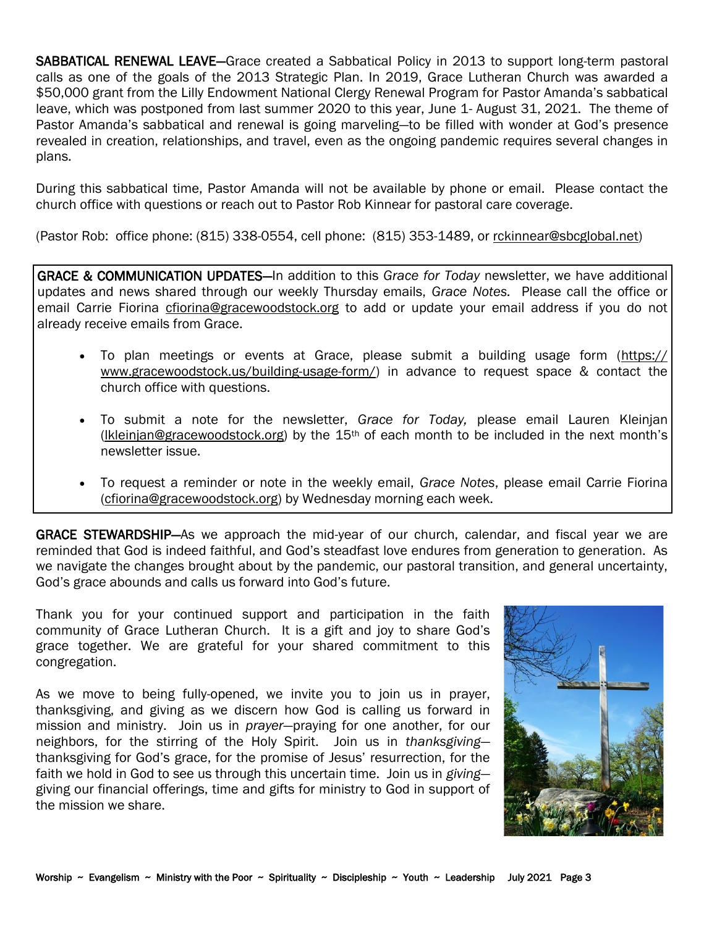SABBATICAL RENEWAL LEAVE-Grace created a Sabbatical Policy in 2013 to support long-term pastoral calls as one of the goals of the 2013 Strategic Plan. In 2019, Grace Lutheran Church was awarded a \$50,000 grant from the Lilly Endowment National Clergy Renewal Program for Pastor Amanda's sabbatical leave, which was postponed from last summer 2020 to this year, June 1- August 31, 2021. The theme of Pastor Amanda's sabbatical and renewal is going marveling—to be filled with wonder at God's presence revealed in creation, relationships, and travel, even as the ongoing pandemic requires several changes in plans.

During this sabbatical time, Pastor Amanda will not be available by phone or email. Please contact the church office with questions or reach out to Pastor Rob Kinnear for pastoral care coverage.

(Pastor Rob: office phone: (815) 338-0554, cell phone: (815) 353-1489, or [rckinnear@sbcglobal.net\)](mailto:rckinnear@sbcglobal.net)

GRACE & COMMUNICATION UPDATES—In addition to this *Grace for Today* newsletter, we have additional updates and news shared through our weekly Thursday emails, *Grace Notes.* Please call the office or email Carrie Fiorina [cfiorina@gracewoodstock.org](mailto:cfiorina@gracewoodstock.org) to add or update your email address if you do not already receive emails from Grace.

- To plan meetings or events at Grace, please submit a building usage form ([https://](https://www.gracewoodstock.us/building-usage-form/) [www.gracewoodstock.us/building-usage-form/\)](https://www.gracewoodstock.us/building-usage-form/) in advance to request space & contact the church office with questions.
- To submit a note for the newsletter, *Grace for Today,* please email Lauren Kleinjan (Ikleinjan@gracewoodstock.org) by the  $15<sup>th</sup>$  of each month to be included in the next month's newsletter issue.
- To request a reminder or note in the weekly email, *Grace Notes*, please email Carrie Fiorina [\(cfiorina@gracewoodstock.org\)](mailto:cfiorina@gracewoodstock.org) by Wednesday morning each week.

GRACE STEWARDSHIP-As we approach the mid-year of our church, calendar, and fiscal year we are reminded that God is indeed faithful, and God's steadfast love endures from generation to generation. As we navigate the changes brought about by the pandemic, our pastoral transition, and general uncertainty, God's grace abounds and calls us forward into God's future.

Thank you for your continued support and participation in the faith community of Grace Lutheran Church. It is a gift and joy to share God's grace together. We are grateful for your shared commitment to this congregation.

As we move to being fully-opened, we invite you to join us in prayer, thanksgiving, and giving as we discern how God is calling us forward in mission and ministry. Join us in *prayer*—praying for one another, for our neighbors, for the stirring of the Holy Spirit. Join us in *thanksgiving* thanksgiving for God's grace, for the promise of Jesus' resurrection, for the faith we hold in God to see us through this uncertain time. Join us in *giving* giving our financial offerings, time and gifts for ministry to God in support of the mission we share.

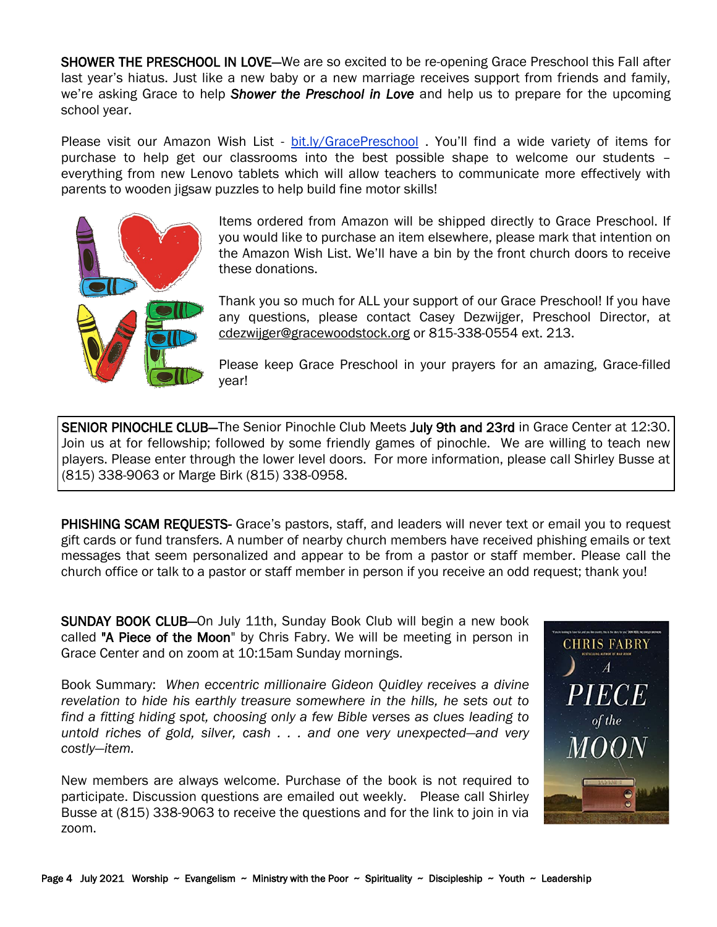SHOWER THE PRESCHOOL IN LOVE—We are so excited to be re-opening Grace Preschool this Fall after last year's hiatus. Just like a new baby or a new marriage receives support from friends and family, we're asking Grace to help *Shower the Preschool in Love* and help us to prepare for the upcoming school year.

Please visit our Amazon Wish List - [bit.ly/GracePreschool](https://www.amazon.com/hz/wishlist/ls/34OZ7S6AY7CSC?ref_=wl_share) . You'll find a wide variety of items for purchase to help get our classrooms into the best possible shape to welcome our students – everything from new Lenovo tablets which will allow teachers to communicate more effectively with parents to wooden jigsaw puzzles to help build fine motor skills!



Items ordered from Amazon will be shipped directly to Grace Preschool. If you would like to purchase an item elsewhere, please mark that intention on the Amazon Wish List. We'll have a bin by the front church doors to receive these donations.

Thank you so much for ALL your support of our Grace Preschool! If you have any questions, please contact Casey Dezwijger, Preschool Director, at [cdezwijger@gracewoodstock.org](mailto:cdezwijger@gracewoodstock.org) or 815-338-0554 ext. 213.

Please keep Grace Preschool in your prayers for an amazing, Grace-filled year!

SENIOR PINOCHLE CLUB—The Senior Pinochle Club Meets July 9th and 23rd in Grace Center at 12:30. Join us at for fellowship; followed by some friendly games of pinochle. We are willing to teach new players. Please enter through the lower level doors. For more information, please call Shirley Busse at (815) 338-9063 or Marge Birk (815) 338-0958.

PHISHING SCAM REQUESTS- Grace's pastors, staff, and leaders will never text or email you to request gift cards or fund transfers. A number of nearby church members have received phishing emails or text messages that seem personalized and appear to be from a pastor or staff member. Please call the church office or talk to a pastor or staff member in person if you receive an odd request; thank you!

SUNDAY BOOK CLUB—On July 11th, Sunday Book Club will begin a new book called "A Piece of the Moon" by Chris Fabry. We will be meeting in person in Grace Center and on zoom at 10:15am Sunday mornings.

Book Summary: *When eccentric millionaire Gideon Quidley receives a divine revelation to hide his earthly treasure somewhere in the hills, he sets out to find a fitting hiding spot, choosing only a few Bible verses as clues leading to untold riches of gold, silver, cash . . . and one very unexpected―and very costly―item.* 

New members are always welcome. Purchase of the book is not required to participate. Discussion questions are emailed out weekly. Please call Shirley Busse at (815) 338-9063 to receive the questions and for the link to join in via zoom.

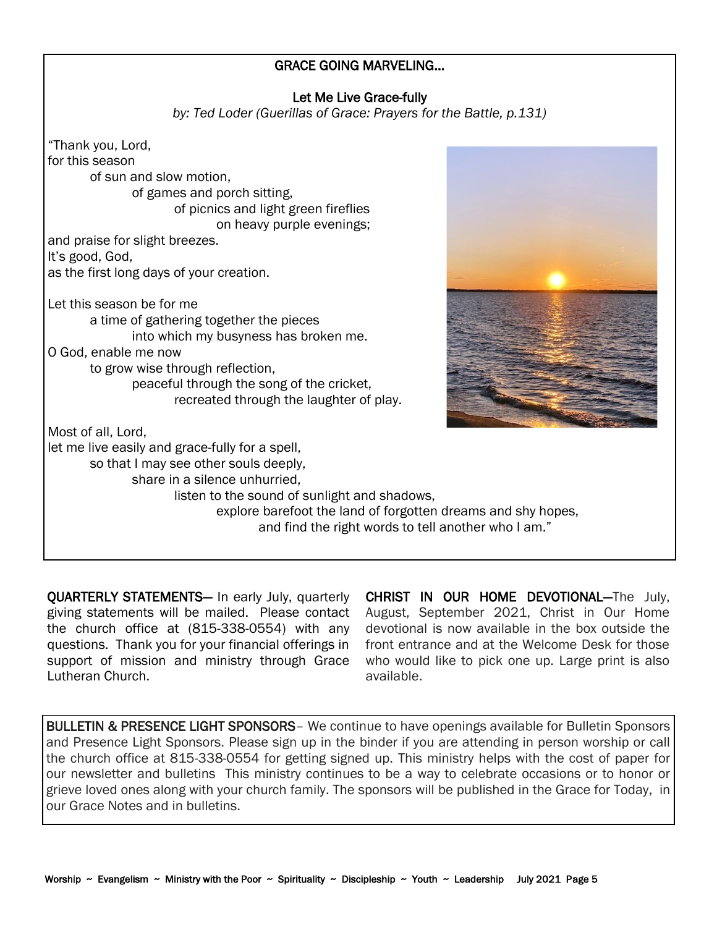### GRACE GOING MARVELING...

### Let Me Live Grace-fully

*by: Ted Loder (Guerillas of Grace: Prayers for the Battle, p.131)*

"Thank you, Lord, for this season of sun and slow motion, of games and porch sitting, of picnics and light green fireflies on heavy purple evenings; and praise for slight breezes. It's good, God, as the first long days of your creation. Let this season be for me a time of gathering together the pieces into which my busyness has broken me. O God, enable me now to grow wise through reflection, peaceful through the song of the cricket, recreated through the laughter of play. Most of all, Lord, let me live easily and grace-fully for a spell, so that I may see other souls deeply, share in a silence unhurried, listen to the sound of sunlight and shadows, explore barefoot the land of forgotten dreams and shy hopes, and find the right words to tell another who I am."

QUARTERLY STATEMENTS— In early July, quarterly giving statements will be mailed. Please contact the church office at (815-338-0554) with any questions. Thank you for your financial offerings in support of mission and ministry through Grace Lutheran Church.

CHRIST IN OUR HOME DEVOTIONAL—The July, August, September 2021, Christ in Our Home devotional is now available in the box outside the front entrance and at the Welcome Desk for those who would like to pick one up. Large print is also available.

BULLETIN & PRESENCE LIGHT SPONSORS- We continue to have openings available for Bulletin Sponsors and Presence Light Sponsors. Please sign up in the binder if you are attending in person worship or call the church office at 815-338-0554 for getting signed up. This ministry helps with the cost of paper for our newsletter and bulletins This ministry continues to be a way to celebrate occasions or to honor or grieve loved ones along with your church family. The sponsors will be published in the Grace for Today, in our Grace Notes and in bulletins.